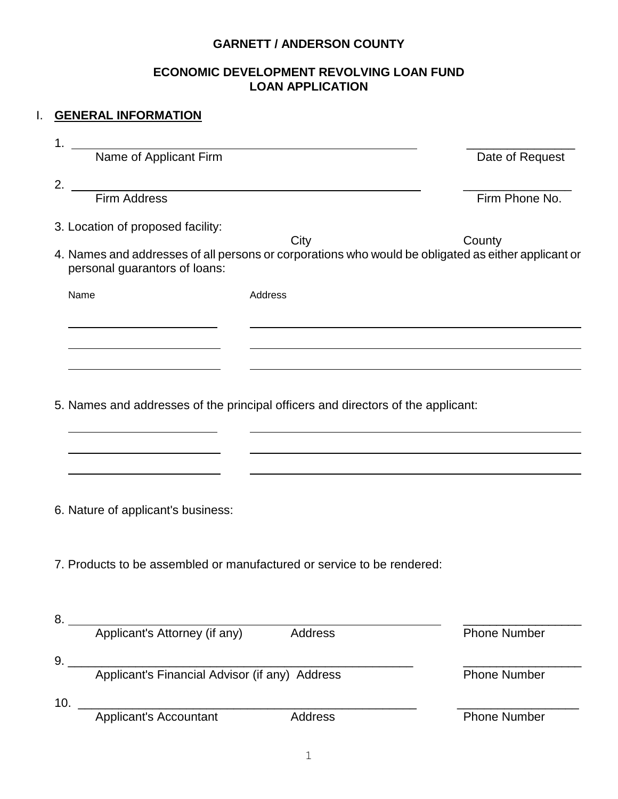#### **GARNETT / ANDERSON COUNTY**

#### **ECONOMIC DEVELOPMENT REVOLVING LOAN FUND LOAN APPLICATION**

# I. **GENERAL INFORMATION** 1. \_\_\_\_\_\_\_\_\_\_\_\_\_\_\_\_ Name of Applicant Firm Date of Request 2. \_\_\_\_\_\_\_\_\_\_\_\_\_\_\_\_ Firm Address Firm Phone No. 3. Location of proposed facility: City **County** 4. Names and addresses of all persons or corporations who would be obligated as either applicant or personal guarantors of loans: Name Address  $\overline{a}$  $\overline{a}$  $\overline{a}$ 5. Names and addresses of the principal officers and directors of the applicant:  $\overline{a}$  $\overline{a}$  $\overline{a}$ 6. Nature of applicant's business:

7. Products to be assembled or manufactured or service to be rendered:

| 8.  |                                                |         |                     |
|-----|------------------------------------------------|---------|---------------------|
|     | Applicant's Attorney (if any)                  | Address | <b>Phone Number</b> |
| 9   |                                                |         |                     |
|     | Applicant's Financial Advisor (if any) Address |         | <b>Phone Number</b> |
| 10. |                                                |         |                     |
|     | <b>Applicant's Accountant</b>                  | Address | <b>Phone Number</b> |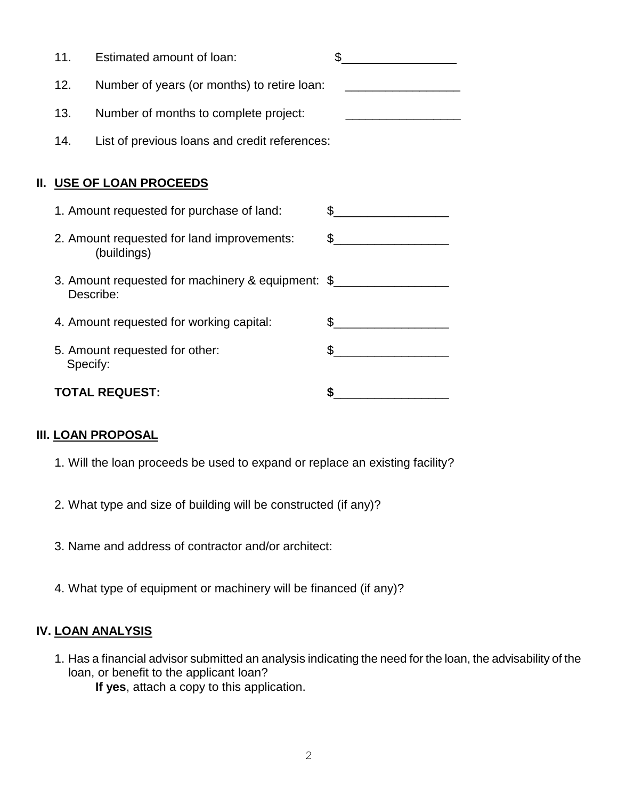| 11.      | Estimated amount of loan:                                      |                  |
|----------|----------------------------------------------------------------|------------------|
| 12.      | Number of years (or months) to retire loan:                    |                  |
| 13.      | Number of months to complete project:                          |                  |
| 14.      | List of previous loans and credit references:                  |                  |
|          | II. USE OF LOAN PROCEEDS                                       |                  |
|          | 1. Amount requested for purchase of land:                      | $\frac{1}{2}$    |
|          | 2. Amount requested for land improvements:<br>(buildings)      | $\frac{1}{2}$    |
|          | 3. Amount requested for machinery & equipment: \$<br>Describe: |                  |
|          | 4. Amount requested for working capital:                       | $\mathbb{S}_{-}$ |
| Specify: | 5. Amount requested for other:                                 | $\frac{1}{2}$    |
|          | <b>TOTAL REQUEST:</b>                                          | \$               |

#### **III. LOAN PROPOSAL**

- 1. Will the loan proceeds be used to expand or replace an existing facility?
- 2. What type and size of building will be constructed (if any)?
- 3. Name and address of contractor and/or architect:
- 4. What type of equipment or machinery will be financed (if any)?

## **IV. LOAN ANALYSIS**

1. Has a financial advisor submitted an analysis indicating the need for the loan, the advisability of the loan, or benefit to the applicant loan?

**If yes**, attach a copy to this application.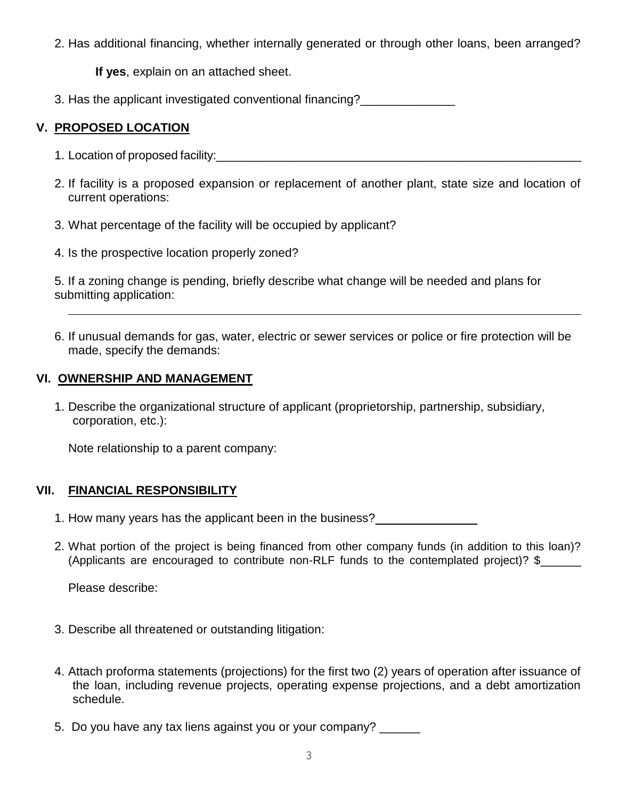2. Has additional financing, whether internally generated or through other loans, been arranged?

**If yes**, explain on an attached sheet.

3. Has the applicant investigated conventional financing?\_\_\_\_\_\_\_\_\_\_\_\_\_\_\_\_\_\_\_\_\_\_\_

## **V. PROPOSED LOCATION**

 $\overline{a}$ 

- 1. Location of proposed facility:
- 2. If facility is a proposed expansion or replacement of another plant, state size and location of current operations:
- 3. What percentage of the facility will be occupied by applicant?
- 4. Is the prospective location properly zoned?

5. If a zoning change is pending, briefly describe what change will be needed and plans for submitting application:

6. If unusual demands for gas, water, electric or sewer services or police or fire protection will be made, specify the demands:

## **VI. OWNERSHIP AND MANAGEMENT**

1. Describe the organizational structure of applicant (proprietorship, partnership, subsidiary, corporation, etc.):

Note relationship to a parent company:

## **VII. FINANCIAL RESPONSIBILITY**

- 1. How many years has the applicant been in the business?
- 2. What portion of the project is being financed from other company funds (in addition to this loan)? (Applicants are encouraged to contribute non-RLF funds to the contemplated project)? \$\_\_\_\_\_\_

Please describe:

- 3. Describe all threatened or outstanding litigation:
- 4. Attach proforma statements (projections) for the first two (2) years of operation after issuance of the loan, including revenue projects, operating expense projections, and a debt amortization schedule.
- 5. Do you have any tax liens against you or your company? \_\_\_\_\_\_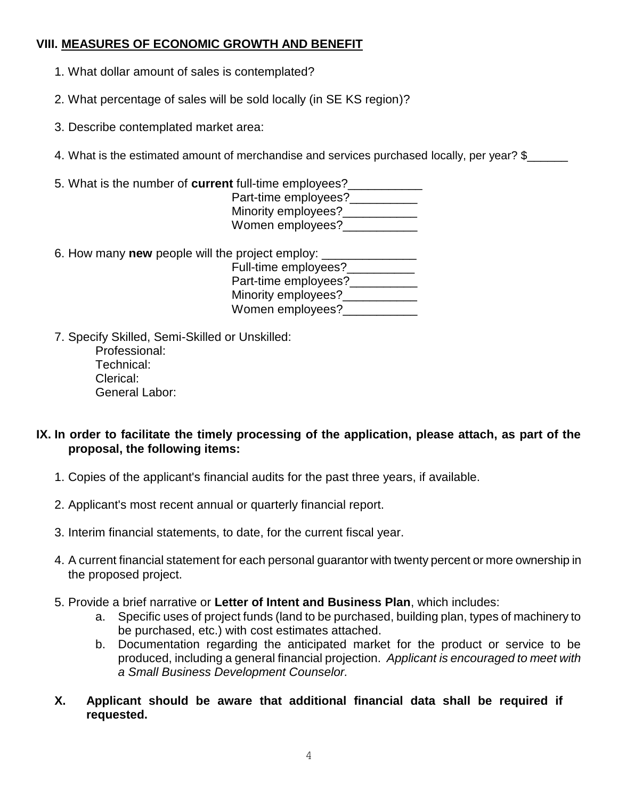## **VIII. MEASURES OF ECONOMIC GROWTH AND BENEFIT**

- 1. What dollar amount of sales is contemplated?
- 2. What percentage of sales will be sold locally (in SE KS region)?
- 3. Describe contemplated market area:
- 4. What is the estimated amount of merchandise and services purchased locally, per year? \$
- 5. What is the number of **current** full-time employees?\_\_\_\_\_\_\_\_\_\_\_ Part-time employees? Minority employees?\_\_\_\_\_\_\_\_\_\_\_\_ Women employees?
- 6. How many **new** people will the project employ: \_\_\_\_\_\_\_\_\_\_\_\_\_\_ Full-time employees? Part-time employees? Minority employees?\_\_\_\_\_\_\_\_\_\_\_\_ Women employees?\_\_\_\_\_\_\_\_\_\_\_
- 7. Specify Skilled, Semi-Skilled or Unskilled: Professional: Technical: Clerical: General Labor:

## **IX. In order to facilitate the timely processing of the application, please attach, as part of the proposal, the following items:**

- 1. Copies of the applicant's financial audits for the past three years, if available.
- 2. Applicant's most recent annual or quarterly financial report.
- 3. Interim financial statements, to date, for the current fiscal year.
- 4. A current financial statement for each personal guarantor with twenty percent or more ownership in the proposed project.
- 5. Provide a brief narrative or **Letter of Intent and Business Plan**, which includes:
	- a. Specific uses of project funds (land to be purchased, building plan, types of machinery to be purchased, etc.) with cost estimates attached.
	- b. Documentation regarding the anticipated market for the product or service to be produced, including a general financial projection. *Applicant is encouraged to meet with a Small Business Development Counselor.*
- **X. Applicant should be aware that additional financial data shall be required if requested.**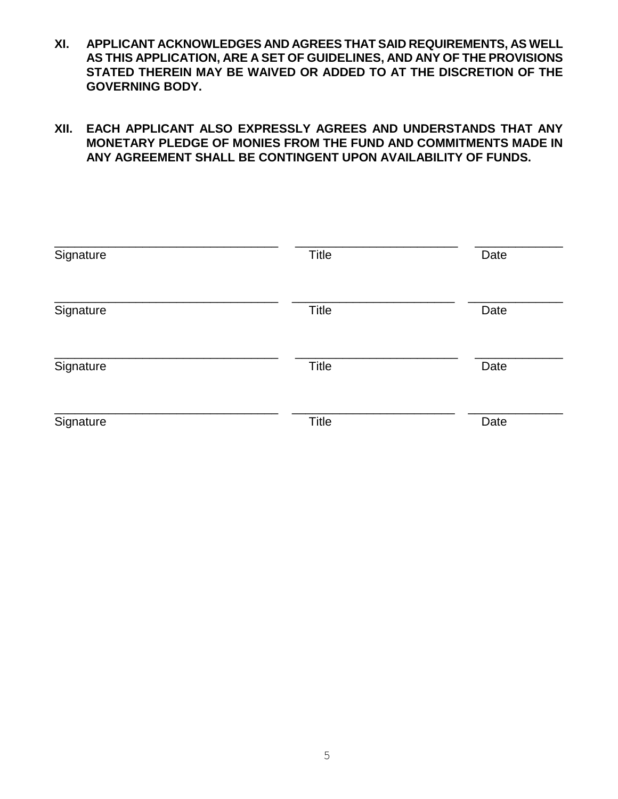- **XI. APPLICANT ACKNOWLEDGES AND AGREES THAT SAID REQUIREMENTS, AS WELL AS THIS APPLICATION, ARE A SET OF GUIDELINES, AND ANY OF THE PROVISIONS STATED THEREIN MAY BE WAIVED OR ADDED TO AT THE DISCRETION OF THE GOVERNING BODY.**
- **XII. EACH APPLICANT ALSO EXPRESSLY AGREES AND UNDERSTANDS THAT ANY MONETARY PLEDGE OF MONIES FROM THE FUND AND COMMITMENTS MADE IN ANY AGREEMENT SHALL BE CONTINGENT UPON AVAILABILITY OF FUNDS.**

| Signature | <b>Title</b> | Date |
|-----------|--------------|------|
| Signature | <b>Title</b> | Date |
| Signature | <b>Title</b> | Date |
| Signature | <b>Title</b> | Date |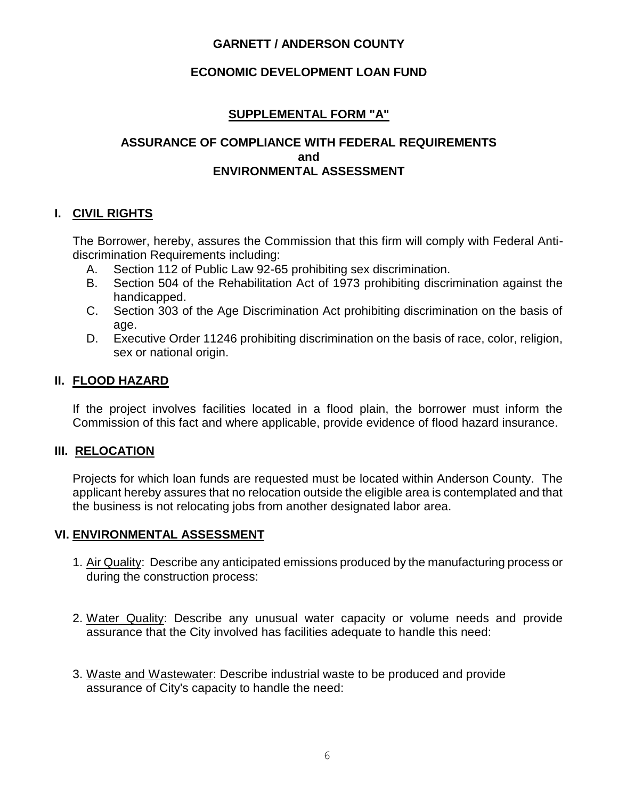## **GARNETT / ANDERSON COUNTY**

## **ECONOMIC DEVELOPMENT LOAN FUND**

## **SUPPLEMENTAL FORM "A"**

#### **ASSURANCE OF COMPLIANCE WITH FEDERAL REQUIREMENTS and ENVIRONMENTAL ASSESSMENT**

#### **I. CIVIL RIGHTS**

The Borrower, hereby, assures the Commission that this firm will comply with Federal Antidiscrimination Requirements including:

- A. Section 112 of Public Law 92-65 prohibiting sex discrimination.
- B. Section 504 of the Rehabilitation Act of 1973 prohibiting discrimination against the handicapped.
- C. Section 303 of the Age Discrimination Act prohibiting discrimination on the basis of age.
- D. Executive Order 11246 prohibiting discrimination on the basis of race, color, religion, sex or national origin.

#### **II. FLOOD HAZARD**

If the project involves facilities located in a flood plain, the borrower must inform the Commission of this fact and where applicable, provide evidence of flood hazard insurance.

#### **III. RELOCATION**

Projects for which loan funds are requested must be located within Anderson County. The applicant hereby assures that no relocation outside the eligible area is contemplated and that the business is not relocating jobs from another designated labor area.

#### **VI. ENVIRONMENTAL ASSESSMENT**

- 1. Air Quality: Describe any anticipated emissions produced by the manufacturing process or during the construction process:
- 2. Water Quality: Describe any unusual water capacity or volume needs and provide assurance that the City involved has facilities adequate to handle this need:
- 3. Waste and Wastewater: Describe industrial waste to be produced and provide assurance of City's capacity to handle the need: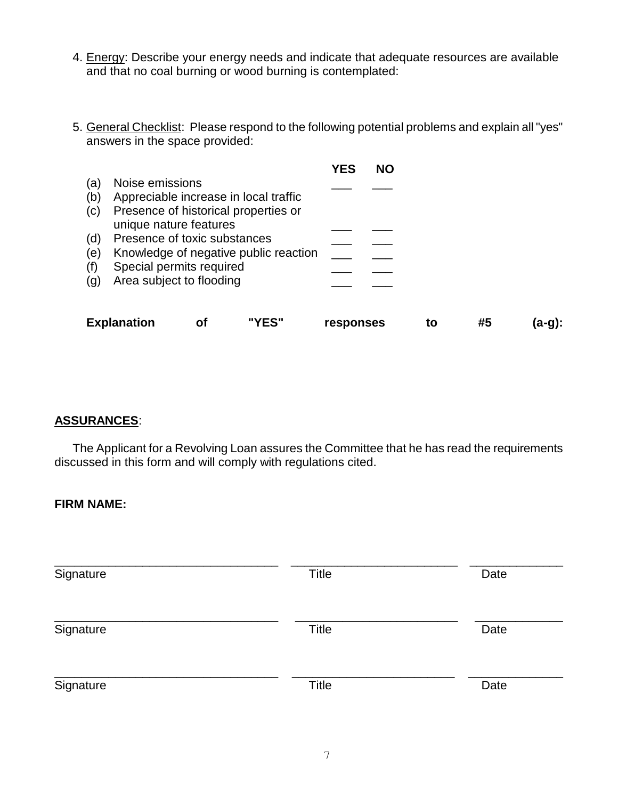- 4. Energy: Describe your energy needs and indicate that adequate resources are available and that no coal burning or wood burning is contemplated:
- 5. General Checklist: Please respond to the following potential problems and explain all "yes" answers in the space provided:

|                          |                                                                                                                                                         |    |       | YES       | <b>NO</b> |    |    |        |
|--------------------------|---------------------------------------------------------------------------------------------------------------------------------------------------------|----|-------|-----------|-----------|----|----|--------|
| (a)<br>(b)<br>(c)        | Noise emissions<br>Appreciable increase in local traffic<br>Presence of historical properties or                                                        |    |       |           |           |    |    |        |
| (d)<br>(e)<br>(f)<br>(g) | unique nature features<br>Presence of toxic substances<br>Knowledge of negative public reaction<br>Special permits required<br>Area subject to flooding |    |       |           |           |    |    |        |
|                          | <b>Explanation</b>                                                                                                                                      | Οf | "YES" | responses |           | to | #5 | (a-g): |

## **ASSURANCES**:

The Applicant for a Revolving Loan assures the Committee that he has read the requirements discussed in this form and will comply with regulations cited.

#### **FIRM NAME:**

| Signature | Title | Date |
|-----------|-------|------|
| Signature | Title | Date |
| Signature | Title | Date |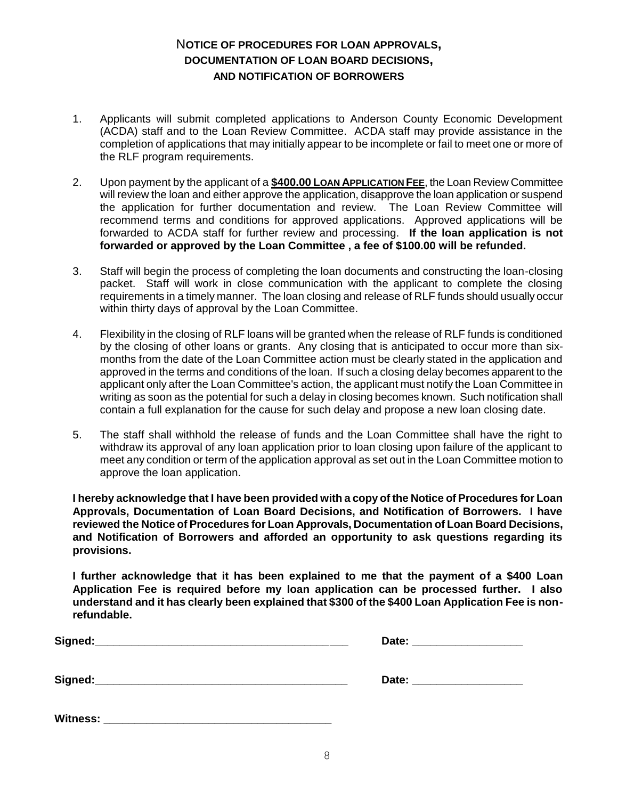#### N**OTICE OF PROCEDURES FOR LOAN APPROVALS, DOCUMENTATION OF LOAN BOARD DECISIONS, AND NOTIFICATION OF BORROWERS**

- 1. Applicants will submit completed applications to Anderson County Economic Development (ACDA) staff and to the Loan Review Committee. ACDA staff may provide assistance in the completion of applications that may initially appear to be incomplete or fail to meet one or more of the RLF program requirements.
- 2. Upon payment by the applicant of a **\$400.00 LOAN APPLICATION FEE**, the Loan Review Committee will review the loan and either approve the application, disapprove the loan application or suspend the application for further documentation and review. The Loan Review Committee will recommend terms and conditions for approved applications. Approved applications will be forwarded to ACDA staff for further review and processing. **If the loan application is not forwarded or approved by the Loan Committee , a fee of \$100.00 will be refunded.**
- 3. Staff will begin the process of completing the loan documents and constructing the loan-closing packet. Staff will work in close communication with the applicant to complete the closing requirements in a timely manner. The loan closing and release of RLF funds should usually occur within thirty days of approval by the Loan Committee.
- 4. Flexibility in the closing of RLF loans will be granted when the release of RLF funds is conditioned by the closing of other loans or grants. Any closing that is anticipated to occur more than sixmonths from the date of the Loan Committee action must be clearly stated in the application and approved in the terms and conditions of the loan. If such a closing delay becomes apparent to the applicant only after the Loan Committee's action, the applicant must notify the Loan Committee in writing as soon as the potential for such a delay in closing becomes known. Such notification shall contain a full explanation for the cause for such delay and propose a new loan closing date.
- 5. The staff shall withhold the release of funds and the Loan Committee shall have the right to withdraw its approval of any loan application prior to loan closing upon failure of the applicant to meet any condition or term of the application approval as set out in the Loan Committee motion to approve the loan application.

**I hereby acknowledge that I have been provided with a copy of the Notice of Procedures for Loan Approvals, Documentation of Loan Board Decisions, and Notification of Borrowers. I have reviewed the Notice of Procedures for Loan Approvals, Documentation of Loan Board Decisions, and Notification of Borrowers and afforded an opportunity to ask questions regarding its provisions.** 

**I further acknowledge that it has been explained to me that the payment of a \$400 Loan Application Fee is required before my loan application can be processed further. I also understand and it has clearly been explained that \$300 of the \$400 Loan Application Fee is nonrefundable.**

| Signed: | Date: |
|---------|-------|
| Signed: | Date: |
|         |       |

**Witness: \_\_\_\_\_\_\_\_\_\_\_\_\_\_\_\_\_\_\_\_\_\_\_\_\_\_\_\_\_\_\_\_\_\_\_\_\_**